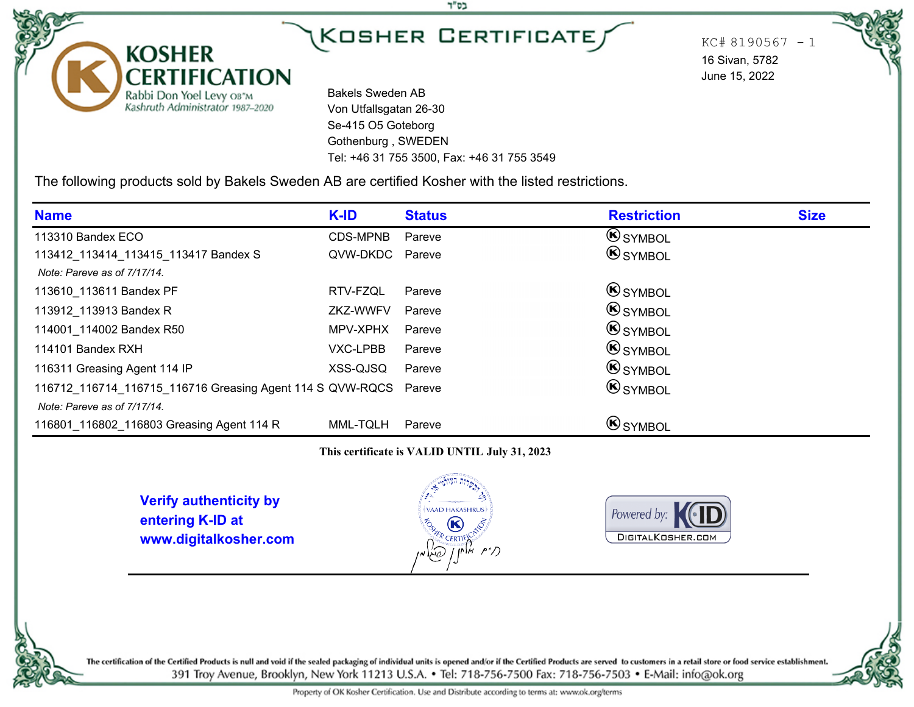בס"ד

 $KC# 8190567 - 1$ 16 Sivan, 5782 June 15, 2022

Bakels Sweden AB Von Utfallsgatan 26-30 Se-415 O5 Goteborg Gothenburg , SWEDEN Tel: +46 31 755 3500, Fax: +46 31 755 3549

The following products sold by Bakels Sweden AB are certified Kosher with the listed restrictions.

| <b>Name</b>                                                      | K-ID            | <b>Status</b> | <b>Restriction</b> | <b>Size</b> |
|------------------------------------------------------------------|-----------------|---------------|--------------------|-------------|
| 113310 Bandex ECO                                                | CDS-MPNB        | Pareve        | <b>SYMBOL</b>      |             |
| 113412_113414_113415_113417 Bandex S                             | QVW-DKDC Pareve |               | <b>SYMBOL</b>      |             |
| Note: Pareve as of 7/17/14.                                      |                 |               |                    |             |
| 113610 113611 Bandex PF                                          | RTV-FZQL        | Pareve        | <b>B</b> SYMBOL    |             |
| 113912 113913 Bandex R                                           | ZKZ-WWFV        | Pareve        | $\bigcirc$ symbol  |             |
| 114001 114002 Bandex R50                                         | MPV-XPHX        | Pareve        | $\bigcirc$ symbol  |             |
| 114101 Bandex RXH                                                | VXC-LPBB        | Pareve        | <b>SYMBOL</b>      |             |
| 116311 Greasing Agent 114 IP                                     | XSS-QJSQ        | Pareve        | <b>SYMBOL</b>      |             |
| 116712 116714 116715 116716 Greasing Agent 114 S QVW-RQCS Pareve |                 |               | <b>SYMBOL</b>      |             |
| Note: Pareve as of 7/17/14.                                      |                 |               |                    |             |
| 116801 116802 116803 Greasing Agent 114 R                        | MML-TQLH        | Pareve        | <b>SYMBOL</b>      |             |

#### **This certificate is VALID UNTIL July 31, 2023**

**Verify authenticity by entering K-ID at www.digitalkosher.com**

**KOSHER** 

**CERTIFICATION** 

Rabbi Don Yoel Levy OB"M<br>Kashruth Administrator 1987-2020





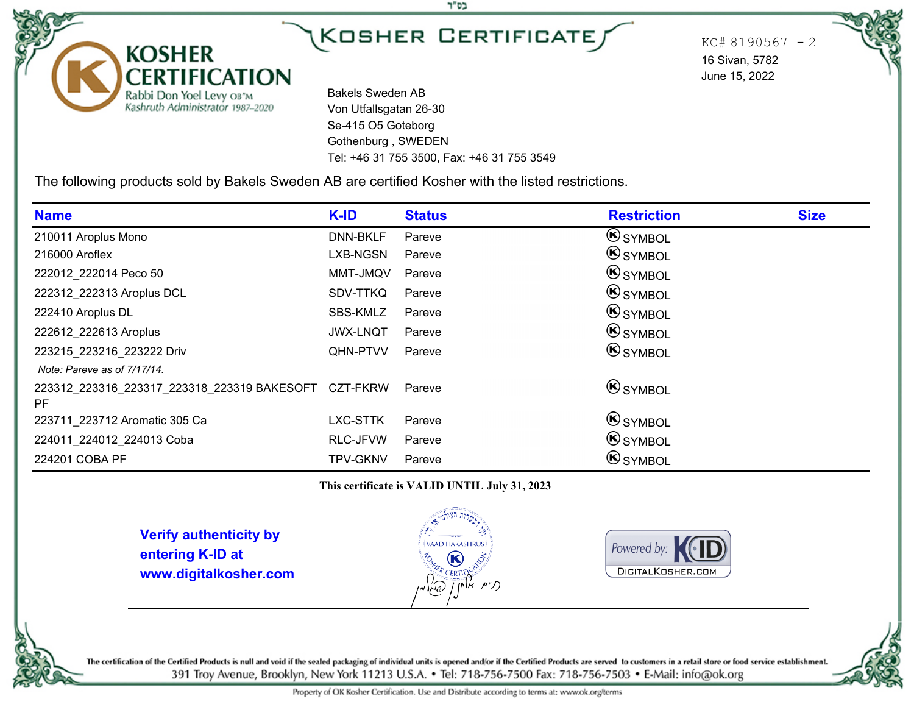בס"ד

 $KC# 8190567 - 2$ 16 Sivan, 5782 June 15, 2022

Bakels Sweden AB Von Utfallsgatan 26-30 Se-415 O5 Goteborg Gothenburg , SWEDEN Tel: +46 31 755 3500, Fax: +46 31 755 3549

The following products sold by Bakels Sweden AB are certified Kosher with the listed restrictions.

| <b>Name</b>                                          | K-ID            | <b>Status</b> | <b>Restriction</b> | <b>Size</b> |
|------------------------------------------------------|-----------------|---------------|--------------------|-------------|
| 210011 Aroplus Mono                                  | DNN-BKLF        | Pareve        | <b>SYMBOL</b>      |             |
| 216000 Aroflex                                       | LXB-NGSN        | Pareve        | <b>B</b> SYMBOL    |             |
| 222012 222014 Peco 50                                | MMT-JMQV        | Pareve        | <b>B</b> SYMBOL    |             |
| 222312 222313 Aroplus DCL                            | SDV-TTKQ        | Pareve        | <b>B</b> SYMBOL    |             |
| 222410 Aroplus DL                                    | SBS-KMLZ        | Pareve        | $\bigcirc$ symbol  |             |
| 222612 222613 Aroplus                                | <b>JWX-LNQT</b> | Pareve        | <b>B</b> SYMBOL    |             |
| 223215 223216 223222 Driv                            | QHN-PTVV        | Pareve        | <b>B</b> SYMBOL    |             |
| Note: Pareve as of 7/17/14.                          |                 |               |                    |             |
| 223312 223316 223317 223318 223319 BAKESOFT CZT-FKRW |                 | Pareve        | <b>SYMBOL</b>      |             |
| PF                                                   |                 |               |                    |             |
| 223711_223712 Aromatic 305 Ca                        | LXC-STTK        | Pareve        | <b>B</b> SYMBOL    |             |
| 224011 224012 224013 Coba                            | RLC-JFVW        | Pareve        | <b>B</b> SYMBOL    |             |
| 224201 COBA PF                                       | <b>TPV-GKNV</b> | Pareve        | <b>B</b> SYMBOL    |             |

**This certificate is VALID UNTIL July 31, 2023**

**Verify authenticity by entering K-ID at www.digitalkosher.com**

**KOSHER** 

**CERTIFICATION** 

Rabbi Don Yoel Levy OB"M<br>Kashruth Administrator 1987-2020



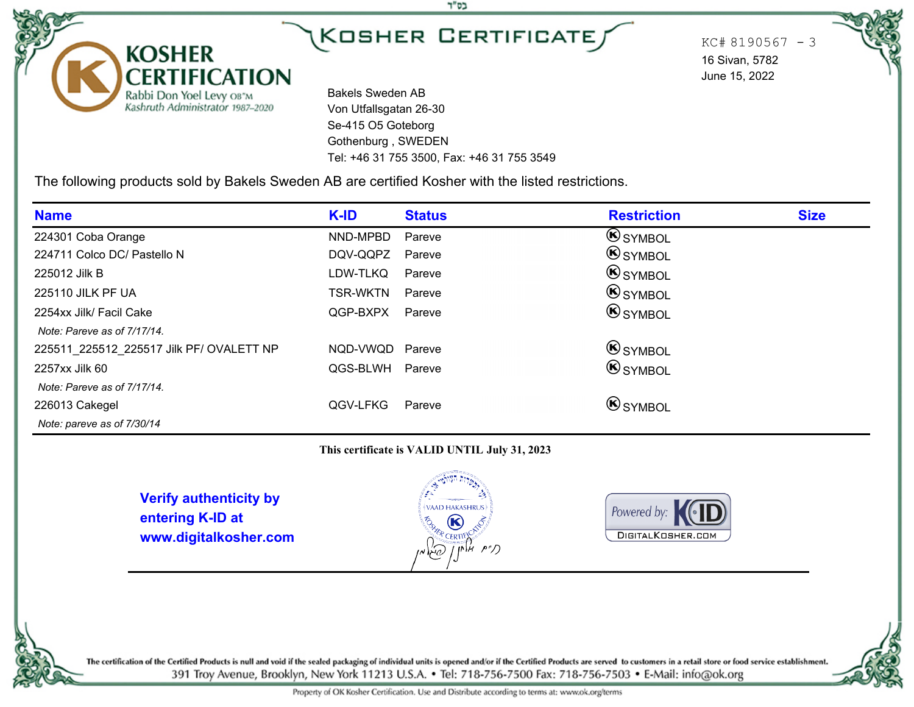בס"ד

 $KC# 8190567 - 3$ 16 Sivan, 5782 June 15, 2022

Bakels Sweden AB Von Utfallsgatan 26-30 Se-415 O5 Goteborg Gothenburg , SWEDEN Tel: +46 31 755 3500, Fax: +46 31 755 3549

The following products sold by Bakels Sweden AB are certified Kosher with the listed restrictions.

| <b>Name</b>                              | K-ID            | <b>Status</b> | <b>Restriction</b> | <b>Size</b> |
|------------------------------------------|-----------------|---------------|--------------------|-------------|
| 224301 Coba Orange                       | NND-MPBD        | Pareve        | <b>SYMBOL</b>      |             |
| 224711 Colco DC/ Pastello N              | DQV-QQPZ        | Pareve        | <b>SYMBOL</b>      |             |
| 225012 Jilk B                            | LDW-TLKQ        | Pareve        | <b>B</b> SYMBOL    |             |
| 225110 JILK PF UA                        | <b>TSR-WKTN</b> | Pareve        | <b>B</b> SYMBOL    |             |
| 2254xx Jilk/ Facil Cake                  | QGP-BXPX        | Pareve        | <b>B</b> SYMBOL    |             |
| Note: Pareve as of 7/17/14.              |                 |               |                    |             |
| 225511 225512 225517 Jilk PF/ OVALETT NP | NQD-VWQD Pareve |               | <b>SYMBOL</b>      |             |
| 2257xx Jilk 60                           | QGS-BLWH Pareve |               | <b>B</b> SYMBOL    |             |
| Note: Pareve as of 7/17/14.              |                 |               |                    |             |
| 226013 Cakegel                           | QGV-LFKG        | Pareve        | <b>B</b> SYMBOL    |             |
| Note: pareve as of 7/30/14               |                 |               |                    |             |

#### **This certificate is VALID UNTIL July 31, 2023**

**Verify authenticity by entering K-ID at www.digitalkosher.com**

**KOSHER** 

**CERTIFICATION** 

Rabbi Don Yoel Levy OB"M<br>Kashruth Administrator 1987-2020





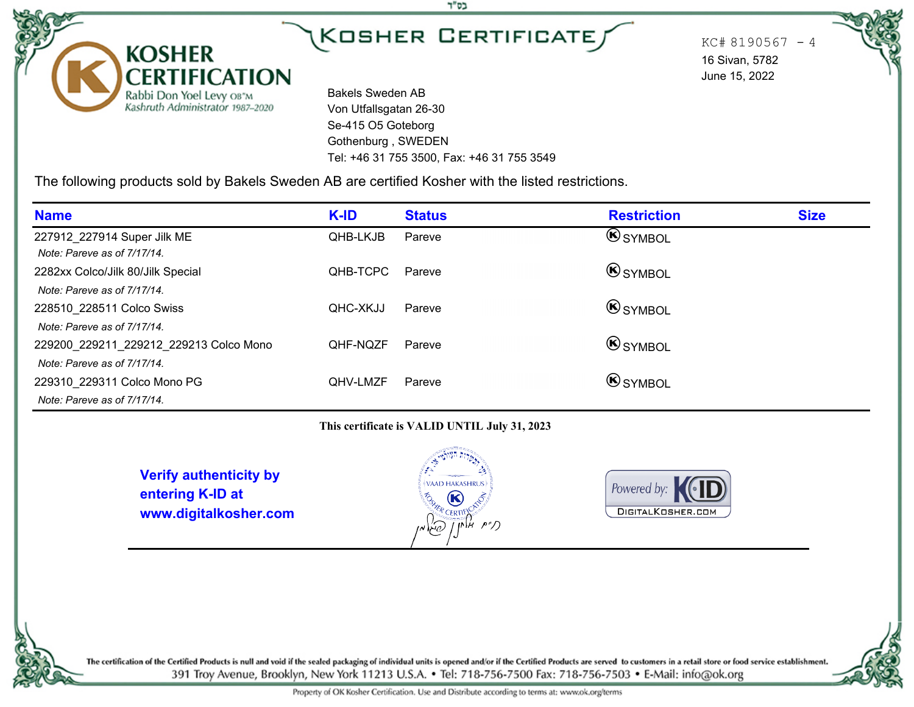בס"ד

 $KC# 8190567 - 4$ 16 Sivan, 5782 June 15, 2022

Bakels Sweden AB Von Utfallsgatan 26-30 Se-415 O5 Goteborg Gothenburg , SWEDEN Tel: +46 31 755 3500, Fax: +46 31 755 3549

The following products sold by Bakels Sweden AB are certified Kosher with the listed restrictions.

| <b>Name</b>                            | K-ID     | <b>Status</b> | <b>Restriction</b> | <b>Size</b> |
|----------------------------------------|----------|---------------|--------------------|-------------|
| 227912_227914 Super Jilk ME            | QHB-LKJB | Pareve        | <b>B</b> SYMBOL    |             |
| Note: Pareve as of 7/17/14.            |          |               |                    |             |
| 2282xx Colco/Jilk 80/Jilk Special      | OHB-TCPC | Pareve        | <b>B</b> SYMBOL    |             |
| Note: Pareve as of 7/17/14.            |          |               |                    |             |
| 228510 228511 Colco Swiss              | OHC-XKJJ | Pareve        | $\bigcirc$ symbol  |             |
| Note: Pareve as of 7/17/14.            |          |               |                    |             |
| 229200_229211_229212_229213 Colco Mono | QHF-NQZF | Pareve        | <b>B</b> SYMBOL    |             |
| Note: Pareve as of 7/17/14.            |          |               |                    |             |
| 229310 229311 Colco Mono PG            | QHV-LMZF | Pareve        | $\bigcirc$ symbol  |             |
| Note: Pareve as of 7/17/14.            |          |               |                    |             |

**This certificate is VALID UNTIL July 31, 2023**

**Verify authenticity by entering K-ID at www.digitalkosher.com**

**KOSHER** 

**CERTIFICATION** 

Rabbi Don Yoel Levy OB"M<br>Kashruth Administrator 1987-2020



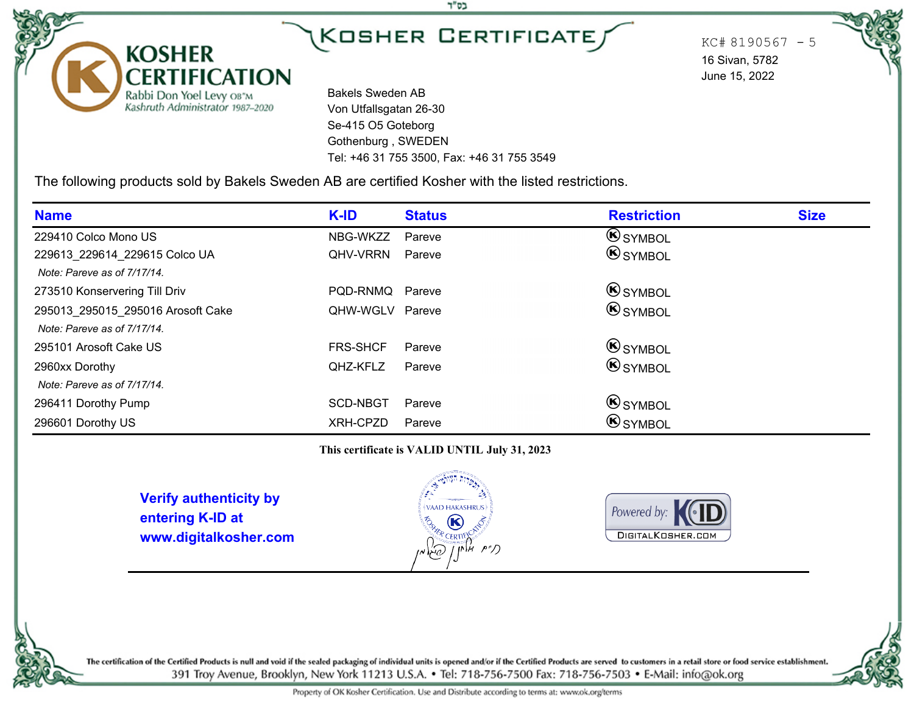בס"ד

 $KC# 8190567 - 5$ 16 Sivan, 5782 June 15, 2022

Bakels Sweden AB Von Utfallsgatan 26-30 Se-415 O5 Goteborg Gothenburg , SWEDEN Tel: +46 31 755 3500, Fax: +46 31 755 3549

The following products sold by Bakels Sweden AB are certified Kosher with the listed restrictions.

| <b>Name</b>                       | K-ID            | <b>Status</b> | <b>Restriction</b> | <b>Size</b> |
|-----------------------------------|-----------------|---------------|--------------------|-------------|
| 229410 Colco Mono US              | NBG-WKZZ        | Pareve        | <b>SYMBOL</b>      |             |
| 229613 229614 229615 Colco UA     | QHV-VRRN        | Pareve        | <b>SYMBOL</b>      |             |
| Note: Pareve as of 7/17/14.       |                 |               |                    |             |
| 273510 Konservering Till Driv     | PQD-RNMQ Pareve |               | <b>B</b> SYMBOL    |             |
| 295013_295015_295016 Arosoft Cake | QHW-WGLV Pareve |               | <b>B</b> SYMBOL    |             |
| Note: Pareve as of 7/17/14.       |                 |               |                    |             |
| 295101 Arosoft Cake US            | <b>FRS-SHCF</b> | Pareve        | $\bigcirc$ symbol  |             |
| 2960xx Dorothy                    | <b>QHZ-KFLZ</b> | Pareve        | <b>B</b> SYMBOL    |             |
| Note: Pareve as of 7/17/14.       |                 |               |                    |             |
| 296411 Dorothy Pump               | SCD-NBGT        | Pareve        | $\bigcirc$ symbol  |             |
| 296601 Dorothy US                 | XRH-CPZD        | Pareve        | <b>B</b> SYMBOL    |             |

**This certificate is VALID UNTIL July 31, 2023**

**Verify authenticity by entering K-ID at www.digitalkosher.com**

**KOSHER** 

**CERTIFICATION** 

Rabbi Don Yoel Levy OB"M<br>Kashruth Administrator 1987-2020





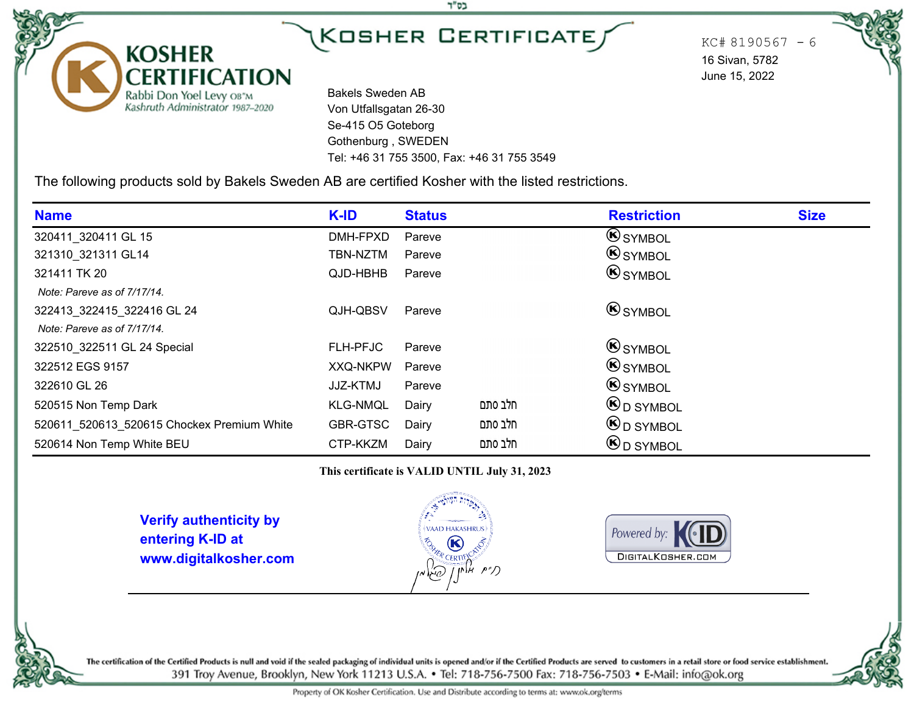בס"ד

 $KC# 8190567 - 6$ 16 Sivan, 5782 June 15, 2022

Bakels Sweden AB Von Utfallsgatan 26-30 Se-415 O5 Goteborg Gothenburg , SWEDEN Tel: +46 31 755 3500, Fax: +46 31 755 3549

The following products sold by Bakels Sweden AB are certified Kosher with the listed restrictions.

| <b>Name</b>                                | K-ID            | <b>Status</b> |         | <b>Restriction</b>                    | <b>Size</b> |
|--------------------------------------------|-----------------|---------------|---------|---------------------------------------|-------------|
| 320411_320411 GL 15                        | DMH-FPXD        | Pareve        |         | <b>SYMBOL</b>                         |             |
| 321310 321311 GL14                         | TBN-NZTM        | Pareve        |         | <b>B</b> SYMBOL                       |             |
| 321411 TK 20                               | QJD-HBHB        | Pareve        |         | <b>B</b> SYMBOL                       |             |
| Note: Pareve as of 7/17/14.                |                 |               |         |                                       |             |
| 322413_322415_322416 GL 24                 | QJH-QBSV        | Pareve        |         | <b>B</b> SYMBOL                       |             |
| Note: Pareve as of 7/17/14.                |                 |               |         |                                       |             |
| 322510 322511 GL 24 Special                | FLH-PFJC        | Pareve        |         | <b>B</b> SYMBOL                       |             |
| 322512 EGS 9157                            | <b>XXQ-NKPW</b> | Pareve        |         | $\bigcirc$ symbol                     |             |
| 322610 GL 26                               | JJZ-KTMJ        | Pareve        |         | $\bigcirc$ symbol                     |             |
| 520515 Non Temp Dark                       | <b>KLG-NMQL</b> | Dairy         | חלב סתם | $\mathbf{\Theta}_{\mathrm{D}}$ SYMBOL |             |
| 520611 520613 520615 Chockex Premium White | GBR-GTSC        | Dairy         | חלב סתם | $\bigcirc$ D SYMBOL                   |             |
| 520614 Non Temp White BEU                  | CTP-KKZM        | Dairy         | חלב סתם | <b>B</b> D SYMBOL                     |             |

**This certificate is VALID UNTIL July 31, 2023**

**Verify authenticity by entering K-ID at www.digitalkosher.com**

**KOSHER** 

**CERTIFICATION** 

Rabbi Don Yoel Levy OB"M<br>Kashruth Administrator 1987-2020



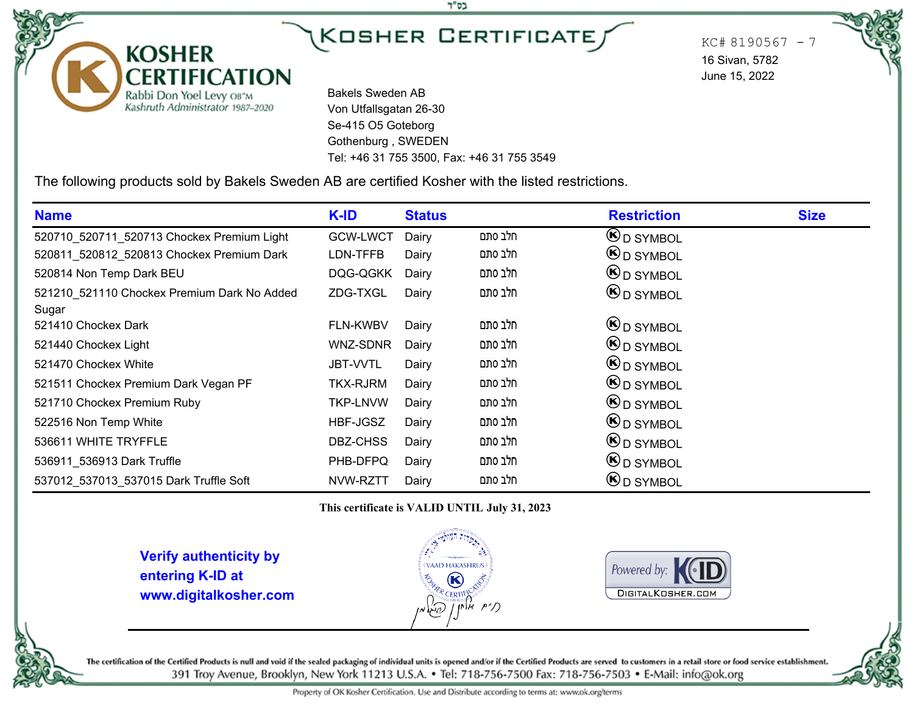בס"ד

 $KC# 8190567 - 7$ 16 Sivan, 5782 June 15, 2022

Bakels Sweden AB Von Utfallsgatan 26-30 Se-415 O5 Goteborg Gothenburg , SWEDEN Tel: +46 31 755 3500, Fax: +46 31 755 3549

The following products sold by Bakels Sweden AB are certified Kosher with the listed restrictions.

| <b>Name</b>                                          | K-ID            | <b>Status</b> |         | <b>Restriction</b>                    | <b>Size</b> |
|------------------------------------------------------|-----------------|---------------|---------|---------------------------------------|-------------|
| 520710_520711_520713 Chockex Premium Light           | <b>GCW-LWCT</b> | Dairy         | חלב סתם | $\mathbf{\Theta}_{\mathrm{D}}$ SYMBOL |             |
| 520811_520812_520813 Chockex Premium Dark            | LDN-TFFB        | Dairy         | חלב סתם | $\mathbf{\Theta}_{\mathrm{D}}$ SYMBOL |             |
| 520814 Non Temp Dark BEU                             | DQG-QGKK        | Dairy         | חלב סתם | $\mathbf{\Theta}_{\mathrm{D}}$ SYMBOL |             |
| 521210 521110 Chockex Premium Dark No Added<br>Sugar | ZDG-TXGL        | Dairy         | חלב סתם | $\mathbf{\Theta}_{\mathrm{D}}$ SYMBOL |             |
| 521410 Chockex Dark                                  | FLN-KWBV        | Dairy         | חלב סתם | $\mathbf{\Theta}_{\mathrm{D}}$ SYMBOL |             |
| 521440 Chockex Light                                 | WNZ-SDNR        | Dairy         | חלב סתם | $\mathbf{\Theta}_{\mathrm{D}}$ SYMBOL |             |
| 521470 Chockex White                                 | <b>JBT-VVTL</b> | Dairy         | חלב סתם | $\mathbf{\Theta}_{\mathrm{D}}$ SYMBOL |             |
| 521511 Chockex Premium Dark Vegan PF                 | <b>TKX-RJRM</b> | Dairy         | חלב סתם | $\mathbf{\Theta}_{\mathrm{D}}$ SYMBOL |             |
| 521710 Chockex Premium Ruby                          | <b>TKP-LNVW</b> | Dairy         | חלב סתם | $\mathbf{\Theta}_{\mathrm{D}}$ SYMBOL |             |
| 522516 Non Temp White                                | HBF-JGSZ        | Dairy         | חלב סתם | <b>B</b> <sub>D</sub> SYMBOL          |             |
| 536611 WHITE TRYFFLE                                 | DBZ-CHSS        | Dairy         | חלב סתם | <b>B</b> <sub>D</sub> SYMBOL          |             |
| 536911 536913 Dark Truffle                           | PHB-DFPQ        | Dairy         | חלב סתם | $\mathbf{\Theta}_{\mathrm{D}}$ SYMBOL |             |
| 537012_537013_537015 Dark Truffle Soft               | NVW-RZTT        | Dairy         | חלב סתם | <b>B</b> <sub>D</sub> SYMBOL          |             |

**This certificate is VALID UNTIL July 31, 2023**

**Verify authenticity by entering K-ID at www.digitalkosher.com**

**KOSHER** 

**CERTIFICATION** 

Rabbi Don Yoel Levy OB"M<br>Kashruth Administrator 1987-2020





The certification of the Certified Products is null and void if the sealed packaging of individual units is opened and/or if the Certified Products are served to customers in a retail store or food service establishment. 391 Troy Avenue, Brooklyn, New York 11213 U.S.A. . Tel: 718-756-7500 Fax: 718-756-7503 . E-Mail: info@ok.org

Property of OK Kosher Certification. Use and Distribute according to terms at: www.ok.org/terms